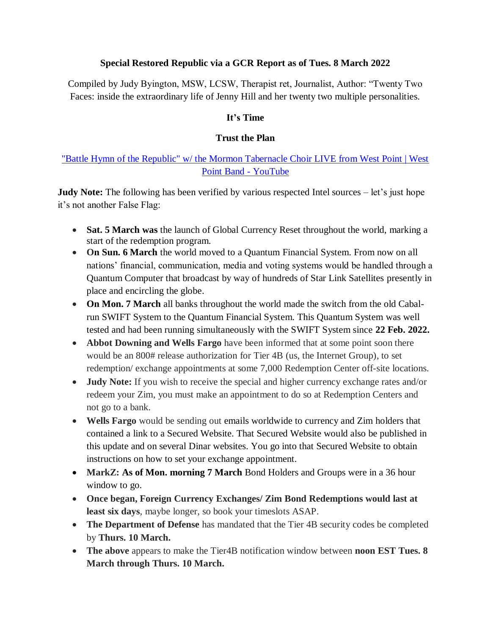#### **Special Restored Republic via a GCR Report as of Tues. 8 March 2022**

Compiled by Judy Byington, MSW, LCSW, Therapist ret, Journalist, Author: "Twenty Two Faces: inside the extraordinary life of Jenny Hill and her twenty two multiple personalities.

### **It"s Time**

#### **Trust the Plan**

## ["Battle Hymn of the Republic" w/ the Mormon Tabernacle Choir LIVE from West Point | West](https://www.youtube.com/watch?v=yAqNe-m0a8s)  [Point Band -](https://www.youtube.com/watch?v=yAqNe-m0a8s) YouTube

**Judy Note:** The following has been verified by various respected Intel sources – let's just hope it's not another False Flag:

- **Sat. 5 March was** the launch of Global Currency Reset throughout the world, marking a start of the redemption program.
- On Sun. 6 March the world moved to a Quantum Financial System. From now on all nations' financial, communication, media and voting systems would be handled through a Quantum Computer that broadcast by way of hundreds of Star Link Satellites presently in place and encircling the globe.
- **On Mon. 7 March** all banks throughout the world made the switch from the old Cabalrun SWIFT System to the Quantum Financial System. This Quantum System was well tested and had been running simultaneously with the SWIFT System since **22 Feb. 2022.**
- **Abbot Downing and Wells Fargo** have been informed that at some point soon there would be an 800# release authorization for Tier 4B (us, the Internet Group), to set redemption/ exchange appointments at some 7,000 Redemption Center off-site locations.
- **Judy Note:** If you wish to receive the special and higher currency exchange rates and/or redeem your Zim, you must make an appointment to do so at Redemption Centers and not go to a bank.
- **Wells Fargo** would be sending out emails worldwide to currency and Zim holders that contained a link to a Secured Website. That Secured Website would also be published in this update and on several Dinar websites. You go into that Secured Website to obtain instructions on how to set your exchange appointment.
- MarkZ: As of Mon. morning 7 March Bond Holders and Groups were in a 36 hour window to go.
- **Once began, Foreign Currency Exchanges/ Zim Bond Redemptions would last at least six days**, maybe longer, so book your timeslots ASAP.
- **The Department of Defense** has mandated that the Tier 4B security codes be completed by **Thurs. 10 March.**
- **The above** appears to make the Tier4B notification window between **noon EST Tues. 8 March through Thurs. 10 March.**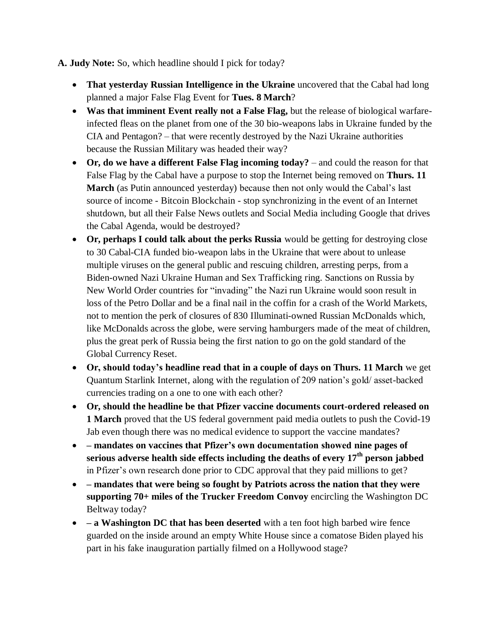**A. Judy Note:** So, which headline should I pick for today?

- **That yesterday Russian Intelligence in the Ukraine** uncovered that the Cabal had long planned a major False Flag Event for **Tues. 8 March**?
- **Was that imminent Event really not a False Flag,** but the release of biological warfareinfected fleas on the planet from one of the 30 bio-weapons labs in Ukraine funded by the CIA and Pentagon? – that were recently destroyed by the Nazi Ukraine authorities because the Russian Military was headed their way?
- **Or, do we have a different False Flag incoming today?** and could the reason for that False Flag by the Cabal have a purpose to stop the Internet being removed on **Thurs. 11 March** (as Putin announced yesterday) because then not only would the Cabal's last source of income - Bitcoin Blockchain - stop synchronizing in the event of an Internet shutdown, but all their False News outlets and Social Media including Google that drives the Cabal Agenda, would be destroyed?
- **Or, perhaps I could talk about the perks Russia** would be getting for destroying close to 30 Cabal-CIA funded bio-weapon labs in the Ukraine that were about to unlease multiple viruses on the general public and rescuing children, arresting perps, from a Biden-owned Nazi Ukraine Human and Sex Trafficking ring. Sanctions on Russia by New World Order countries for "invading" the Nazi run Ukraine would soon result in loss of the Petro Dollar and be a final nail in the coffin for a crash of the World Markets, not to mention the perk of closures of 830 Illuminati-owned Russian McDonalds which, like McDonalds across the globe, were serving hamburgers made of the meat of children, plus the great perk of Russia being the first nation to go on the gold standard of the Global Currency Reset.
- **Or, should today"s headline read that in a couple of days on Thurs. 11 March** we get Quantum Starlink Internet, along with the regulation of 209 nation's gold/ asset-backed currencies trading on a one to one with each other?
- **Or, should the headline be that Pfizer vaccine documents court-ordered released on 1 March** proved that the US federal government paid media outlets to push the Covid-19 Jab even though there was no medical evidence to support the vaccine mandates?
- **– mandates on vaccines that Pfizer"s own documentation showed nine pages of serious adverse health side effects including the deaths of every 17th person jabbed** in Pfizer's own research done prior to CDC approval that they paid millions to get?
- **– mandates that were being so fought by Patriots across the nation that they were supporting 70+ miles of the Trucker Freedom Convoy** encircling the Washington DC Beltway today?
- **– a Washington DC that has been deserted** with a ten foot high barbed wire fence guarded on the inside around an empty White House since a comatose Biden played his part in his fake inauguration partially filmed on a Hollywood stage?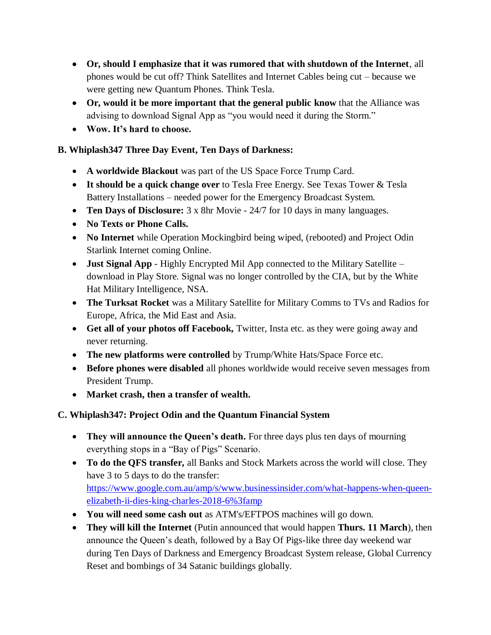- **Or, should I emphasize that it was rumored that with shutdown of the Internet**, all phones would be cut off? Think Satellites and Internet Cables being cut – because we were getting new Quantum Phones. Think Tesla.
- **Or, would it be more important that the general public know** that the Alliance was advising to download Signal App as "you would need it during the Storm."
- **Wow. It"s hard to choose.**

# **B. Whiplash347 Three Day Event, Ten Days of Darkness:**

- **A worldwide Blackout** was part of the US Space Force Trump Card.
- **It should be a quick change over** to Tesla Free Energy. See Texas Tower & Tesla Battery Installations – needed power for the Emergency Broadcast System.
- **Ten Days of Disclosure:** 3 x 8hr Movie 24/7 for 10 days in many languages.
- **No Texts or Phone Calls.**
- **No Internet** while Operation Mockingbird being wiped, (rebooted) and Project Odin Starlink Internet coming Online.
- **Just Signal App** Highly Encrypted Mil App connected to the Military Satellite download in Play Store. Signal was no longer controlled by the CIA, but by the White Hat Military Intelligence, NSA.
- **The Turksat Rocket** was a Military Satellite for Military Comms to TVs and Radios for Europe, Africa, the Mid East and Asia.
- **Get all of your photos off Facebook,** Twitter, Insta etc. as they were going away and never returning.
- **The new platforms were controlled** by Trump/White Hats/Space Force etc.
- **Before phones were disabled** all phones worldwide would receive seven messages from President Trump.
- **Market crash, then a transfer of wealth.**

# **C. Whiplash347: Project Odin and the Quantum Financial System**

- They will announce the Queen's death. For three days plus ten days of mourning everything stops in a "Bay of Pigs" Scenario.
- **To do the QFS transfer,** all Banks and Stock Markets across the world will close. They have 3 to 5 days to do the transfer: [https://www.google.com.au/amp/s/www.businessinsider.com/what-happens-when-queen](https://www.google.com.au/amp/s/www.businessinsider.com/what-happens-when-queen-elizabeth-ii-dies-king-charles-2018-6%3famp)[elizabeth-ii-dies-king-charles-2018-6%3famp](https://www.google.com.au/amp/s/www.businessinsider.com/what-happens-when-queen-elizabeth-ii-dies-king-charles-2018-6%3famp)
- **You will need some cash out** as ATM's/EFTPOS machines will go down.
- **They will kill the Internet** (Putin announced that would happen **Thurs. 11 March**), then announce the Queen's death, followed by a Bay Of Pigs-like three day weekend war during Ten Days of Darkness and Emergency Broadcast System release, Global Currency Reset and bombings of 34 Satanic buildings globally.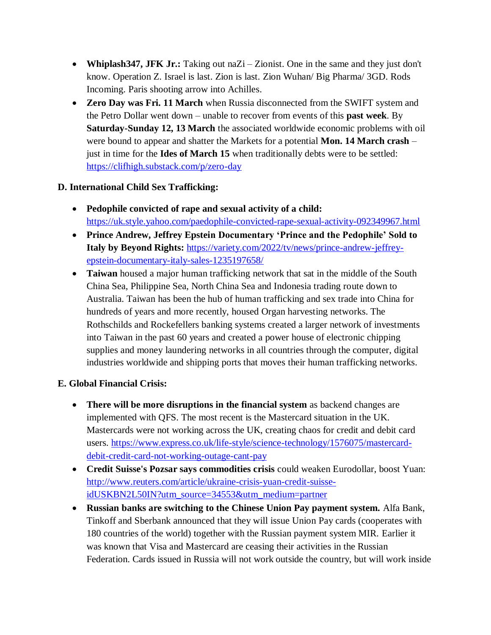- **Whiplash347, JFK Jr.:** Taking out naZi Zionist. One in the same and they just don't know. Operation Z. Israel is last. Zion is last. Zion Wuhan/ Big Pharma/ 3GD. Rods Incoming. Paris shooting arrow into Achilles.
- **Zero Day was Fri. 11 March** when Russia disconnected from the SWIFT system and the Petro Dollar went down – unable to recover from events of this **past week**. By **Saturday-Sunday 12, 13 March** the associated worldwide economic problems with oil were bound to appear and shatter the Markets for a potential **Mon. 14 March crash** – just in time for the **Ides of March 15** when traditionally debts were to be settled: <https://clifhigh.substack.com/p/zero-day>

### **D. International Child Sex Trafficking:**

- **Pedophile convicted of rape and sexual activity of a child:**  <https://uk.style.yahoo.com/paedophile-convicted-rape-sexual-activity-092349967.html>
- **Prince Andrew, Jeffrey Epstein Documentary "Prince and the Pedophile" Sold to Italy by Beyond Rights:** [https://variety.com/2022/tv/news/prince-andrew-jeffrey](https://variety.com/2022/tv/news/prince-andrew-jeffrey-epstein-documentary-italy-sales-1235197658/)[epstein-documentary-italy-sales-1235197658/](https://variety.com/2022/tv/news/prince-andrew-jeffrey-epstein-documentary-italy-sales-1235197658/)
- **Taiwan** housed a major human trafficking network that sat in the middle of the South China Sea, Philippine Sea, North China Sea and Indonesia trading route down to Australia. Taiwan has been the hub of human trafficking and sex trade into China for hundreds of years and more recently, housed Organ harvesting networks. The Rothschilds and Rockefellers banking systems created a larger network of investments into Taiwan in the past 60 years and created a power house of electronic chipping supplies and money laundering networks in all countries through the computer, digital industries worldwide and shipping ports that moves their human trafficking networks.

#### **E. Global Financial Crisis:**

- **There will be more disruptions in the financial system** as backend changes are implemented with QFS. The most recent is the Mastercard situation in the UK. Mastercards were not working across the UK, creating chaos for credit and debit card users. [https://www.express.co.uk/life-style/science-technology/1576075/mastercard](https://www.express.co.uk/life-style/science-technology/1576075/mastercard-debit-credit-card-not-working-outage-cant-pay)[debit-credit-card-not-working-outage-cant-pay](https://www.express.co.uk/life-style/science-technology/1576075/mastercard-debit-credit-card-not-working-outage-cant-pay)
- **Credit Suisse's Pozsar says commodities crisis** could weaken Eurodollar, boost Yuan: [http://www.reuters.com/article/ukraine-crisis-yuan-credit-suisse](http://www.reuters.com/article/ukraine-crisis-yuan-credit-suisse-idUSKBN2L50IN?utm_source=34553&utm_medium=partner)[idUSKBN2L50IN?utm\\_source=34553&utm\\_medium=partner](http://www.reuters.com/article/ukraine-crisis-yuan-credit-suisse-idUSKBN2L50IN?utm_source=34553&utm_medium=partner)
- **Russian banks are switching to the Chinese Union Pay payment system.** Alfa Bank, Tinkoff and Sberbank announced that they will issue Union Pay cards (cooperates with 180 countries of the world) together with the Russian payment system MIR. Earlier it was known that Visa and Mastercard are ceasing their activities in the Russian Federation. Cards issued in Russia will not work outside the country, but will work inside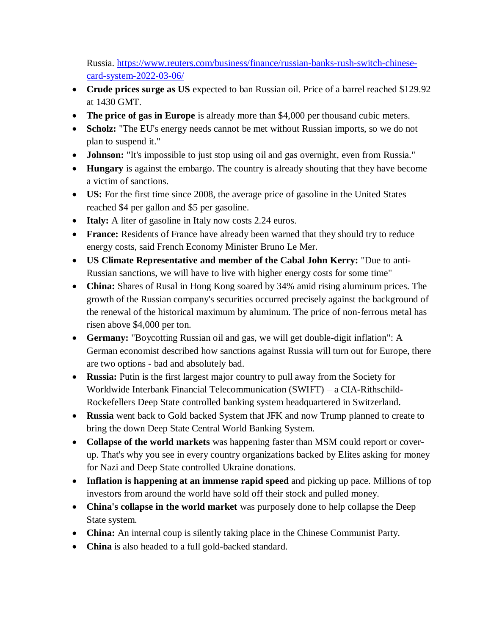Russia. [https://www.reuters.com/business/finance/russian-banks-rush-switch-chinese](https://www.reuters.com/business/finance/russian-banks-rush-switch-chinese-card-system-2022-03-06/)[card-system-2022-03-06/](https://www.reuters.com/business/finance/russian-banks-rush-switch-chinese-card-system-2022-03-06/)

- **Crude prices surge as US** expected to ban Russian oil. Price of a barrel reached \$129.92 at 1430 GMT.
- **The price of gas in Europe** is already more than \$4,000 per thousand cubic meters.
- **Scholz:** "The EU's energy needs cannot be met without Russian imports, so we do not plan to suspend it."
- **Johnson:** "It's impossible to just stop using oil and gas overnight, even from Russia."
- **Hungary** is against the embargo. The country is already shouting that they have become a victim of sanctions.
- **US:** For the first time since 2008, the average price of gasoline in the United States reached \$4 per gallon and \$5 per gasoline.
- **Italy:** A liter of gasoline in Italy now costs 2.24 euros.
- **France:** Residents of France have already been warned that they should try to reduce energy costs, said French Economy Minister Bruno Le Mer.
- **US Climate Representative and member of the Cabal John Kerry:** "Due to anti-Russian sanctions, we will have to live with higher energy costs for some time"
- **China:** Shares of Rusal in Hong Kong soared by 34% amid rising aluminum prices. The growth of the Russian company's securities occurred precisely against the background of the renewal of the historical maximum by aluminum. The price of non-ferrous metal has risen above \$4,000 per ton.
- **Germany:** "Boycotting Russian oil and gas, we will get double-digit inflation": A German economist described how sanctions against Russia will turn out for Europe, there are two options - bad and absolutely bad.
- **Russia:** Putin is the first largest major country to pull away from the Society for Worldwide Interbank Financial Telecommunication (SWIFT) – a CIA-Rithschild-Rockefellers Deep State controlled banking system headquartered in Switzerland.
- **Russia** went back to Gold backed System that JFK and now Trump planned to create to bring the down Deep State Central World Banking System.
- **Collapse of the world markets** was happening faster than MSM could report or coverup. That's why you see in every country organizations backed by Elites asking for money for Nazi and Deep State controlled Ukraine donations.
- **Inflation is happening at an immense rapid speed** and picking up pace. Millions of top investors from around the world have sold off their stock and pulled money.
- **China's collapse in the world market** was purposely done to help collapse the Deep State system.
- **China:** An internal coup is silently taking place in the Chinese Communist Party.
- **China** is also headed to a full gold-backed standard.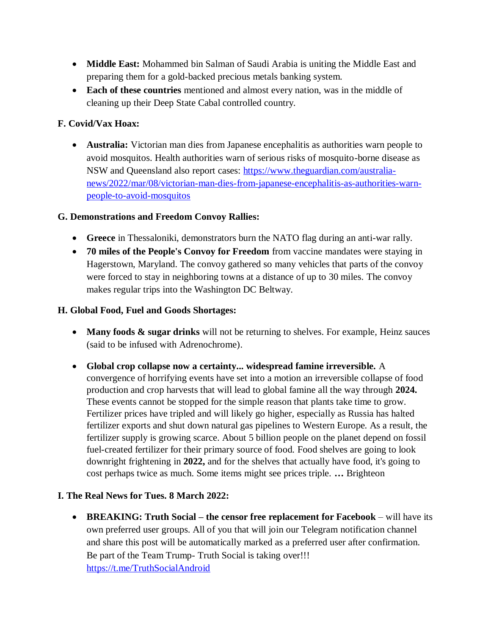- **Middle East:** Mohammed bin Salman of Saudi Arabia is uniting the Middle East and preparing them for a gold-backed precious metals banking system.
- **Each of these countries** mentioned and almost every nation, was in the middle of cleaning up their Deep State Cabal controlled country.

### **F. Covid/Vax Hoax:**

 **Australia:** Victorian man dies from Japanese encephalitis as authorities warn people to avoid mosquitos. Health authorities warn of serious risks of mosquito-borne disease as NSW and Queensland also report cases: [https://www.theguardian.com/australia](https://www.theguardian.com/australia-news/2022/mar/08/victorian-man-dies-from-japanese-encephalitis-as-authorities-warn-people-to-avoid-mosquitos)[news/2022/mar/08/victorian-man-dies-from-japanese-encephalitis-as-authorities-warn](https://www.theguardian.com/australia-news/2022/mar/08/victorian-man-dies-from-japanese-encephalitis-as-authorities-warn-people-to-avoid-mosquitos)[people-to-avoid-mosquitos](https://www.theguardian.com/australia-news/2022/mar/08/victorian-man-dies-from-japanese-encephalitis-as-authorities-warn-people-to-avoid-mosquitos)

### **G. Demonstrations and Freedom Convoy Rallies:**

- **Greece** in Thessaloniki, demonstrators burn the NATO flag during an anti-war rally.
- **70 miles of the People's Convoy for Freedom** from vaccine mandates were staying in Hagerstown, Maryland. The convoy gathered so many vehicles that parts of the convoy were forced to stay in neighboring towns at a distance of up to 30 miles. The convoy makes regular trips into the Washington DC Beltway.

#### **H. Global Food, Fuel and Goods Shortages:**

- Many foods  $\&$  sugar drinks will not be returning to shelves. For example, Heinz sauces (said to be infused with Adrenochrome).
- **Global crop collapse now a certainty... widespread famine irreversible.** A convergence of horrifying events have set into a motion an irreversible collapse of food production and crop harvests that will lead to global famine all the way through **2024.** These events cannot be stopped for the simple reason that plants take time to grow. Fertilizer prices have tripled and will likely go higher, especially as Russia has halted fertilizer exports and shut down natural gas pipelines to Western Europe. As a result, the fertilizer supply is growing scarce. About 5 billion people on the planet depend on fossil fuel-created fertilizer for their primary source of food. Food shelves are going to look downright frightening in **2022,** and for the shelves that actually have food, it's going to cost perhaps twice as much. Some items might see prices triple. **…** Brighteon

#### **I. The Real News for Tues. 8 March 2022:**

 **BREAKING: Truth Social – the censor free replacement for Facebook** – will have its own preferred user groups. All of you that will join our Telegram notification channel and share this post will be automatically marked as a preferred user after confirmation. Be part of the Team Trump- Truth Social is taking over!!! <https://t.me/TruthSocialAndroid>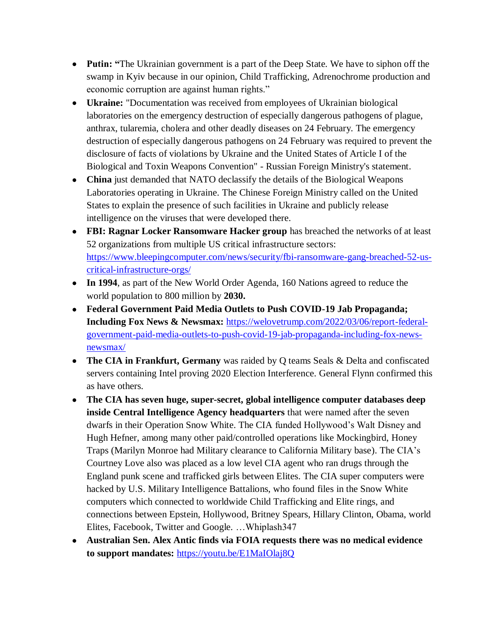- **Putin:** "The Ukrainian government is a part of the Deep State. We have to siphon off the swamp in Kyiv because in our opinion, Child Trafficking, Adrenochrome production and economic corruption are against human rights."
- **Ukraine:** "Documentation was received from employees of Ukrainian biological laboratories on the emergency destruction of especially dangerous pathogens of plague, anthrax, tularemia, cholera and other deadly diseases on 24 February. The emergency destruction of especially dangerous pathogens on 24 February was required to prevent the disclosure of facts of violations by Ukraine and the United States of Article I of the Biological and Toxin Weapons Convention" - Russian Foreign Ministry's statement.
- **China** just demanded that NATO declassify the details of the Biological Weapons Laboratories operating in Ukraine. The Chinese Foreign Ministry called on the United States to explain the presence of such facilities in Ukraine and publicly release intelligence on the viruses that were developed there.
- **FBI: Ragnar Locker Ransomware Hacker group** has breached the networks of at least 52 organizations from multiple US critical infrastructure sectors: [https://www.bleepingcomputer.com/news/security/fbi-ransomware-gang-breached-52-us](https://www.bleepingcomputer.com/news/security/fbi-ransomware-gang-breached-52-us-critical-infrastructure-orgs/)[critical-infrastructure-orgs/](https://www.bleepingcomputer.com/news/security/fbi-ransomware-gang-breached-52-us-critical-infrastructure-orgs/)
- **In 1994**, as part of the New World Order Agenda, 160 Nations agreed to reduce the world population to 800 million by **2030.**
- **Federal Government Paid Media Outlets to Push COVID-19 Jab Propaganda; Including Fox News & Newsmax:** [https://welovetrump.com/2022/03/06/report-federal](https://welovetrump.com/2022/03/06/report-federal-government-paid-media-outlets-to-push-covid-19-jab-propaganda-including-fox-news-newsmax/)[government-paid-media-outlets-to-push-covid-19-jab-propaganda-including-fox-news](https://welovetrump.com/2022/03/06/report-federal-government-paid-media-outlets-to-push-covid-19-jab-propaganda-including-fox-news-newsmax/)[newsmax/](https://welovetrump.com/2022/03/06/report-federal-government-paid-media-outlets-to-push-covid-19-jab-propaganda-including-fox-news-newsmax/)
- **The CIA in Frankfurt, Germany** was raided by Q teams Seals & Delta and confiscated servers containing Intel proving 2020 Election Interference. General Flynn confirmed this as have others.
- **The CIA has seven huge, super-secret, global intelligence computer databases deep inside Central Intelligence Agency headquarters** that were named after the seven dwarfs in their Operation Snow White. The CIA funded Hollywood's Walt Disney and Hugh Hefner, among many other paid/controlled operations like Mockingbird, Honey Traps (Marilyn Monroe had Military clearance to California Military base). The CIA's Courtney Love also was placed as a low level CIA agent who ran drugs through the England punk scene and trafficked girls between Elites. The CIA super computers were hacked by U.S. Military Intelligence Battalions, who found files in the Snow White computers which connected to worldwide Child Trafficking and Elite rings, and connections between Epstein, Hollywood, Britney Spears, Hillary Clinton, Obama, world Elites, Facebook, Twitter and Google. …Whiplash347
- **Australian Sen. Alex Antic finds via FOIA requests there was no medical evidence to support mandates:** <https://youtu.be/E1MaIOlaj8Q>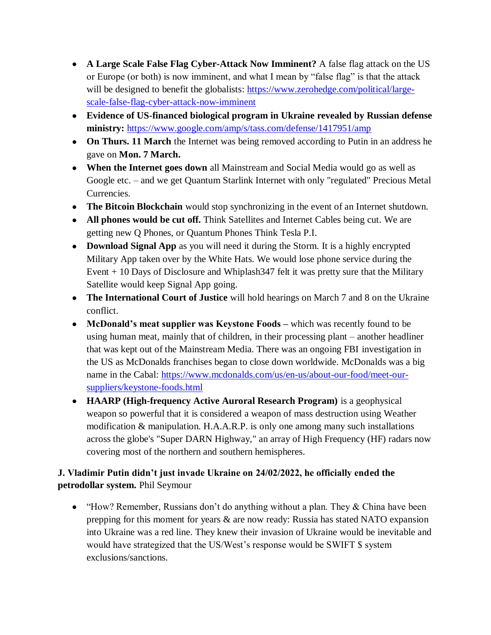- **A Large Scale False Flag Cyber-Attack Now Imminent?** A false flag attack on the US or Europe (or both) is now imminent, and what I mean by "false flag" is that the attack will be designed to benefit the globalists: [https://www.zerohedge.com/political/large](https://www.zerohedge.com/political/large-scale-false-flag-cyber-attack-now-imminent)[scale-false-flag-cyber-attack-now-imminent](https://www.zerohedge.com/political/large-scale-false-flag-cyber-attack-now-imminent)
- **Evidence of US-financed biological program in Ukraine revealed by Russian defense ministry:** <https://www.google.com/amp/s/tass.com/defense/1417951/amp>
- **On Thurs. 11 March** the Internet was being removed according to Putin in an address he gave on **Mon. 7 March.**
- **When the Internet goes down** all Mainstream and Social Media would go as well as Google etc. – and we get Quantum Starlink Internet with only "regulated" Precious Metal Currencies.
- **The Bitcoin Blockchain** would stop synchronizing in the event of an Internet shutdown.
- **All phones would be cut off.** Think Satellites and Internet Cables being cut. We are getting new Q Phones, or Quantum Phones Think Tesla P.I.
- **Download Signal App** as you will need it during the Storm. It is a highly encrypted Military App taken over by the White Hats. We would lose phone service during the Event + 10 Days of Disclosure and Whiplash347 felt it was pretty sure that the Military Satellite would keep Signal App going.
- **The International Court of Justice** will hold hearings on March 7 and 8 on the Ukraine conflict.
- **McDonald"s meat supplier was Keystone Foods –** which was recently found to be using human meat, mainly that of children, in their processing plant – another headliner that was kept out of the Mainstream Media. There was an ongoing FBI investigation in the US as McDonalds franchises began to close down worldwide. McDonalds was a big name in the Cabal: [https://www.mcdonalds.com/us/en-us/about-our-food/meet-our](https://www.mcdonalds.com/us/en-us/about-our-food/meet-our-suppliers/keystone-foods.html)[suppliers/keystone-foods.html](https://www.mcdonalds.com/us/en-us/about-our-food/meet-our-suppliers/keystone-foods.html)
- **HAARP (High-frequency Active Auroral Research Program)** is a geophysical weapon so powerful that it is considered a weapon of mass destruction using Weather modification & manipulation. H.A.A.R.P. is only one among many such installations across the globe's "Super DARN Highway," an array of High Frequency (HF) radars now covering most of the northern and southern hemispheres.

# **J. Vladimir Putin didn"t just invade Ukraine on 24/02/2022, he officially ended the petrodollar system.** Phil Seymour

• "How? Remember, Russians don't do anything without a plan. They & China have been prepping for this moment for years & are now ready: Russia has stated NATO expansion into Ukraine was a red line. They knew their invasion of Ukraine would be inevitable and would have strategized that the US/West's response would be SWIFT \$ system exclusions/sanctions.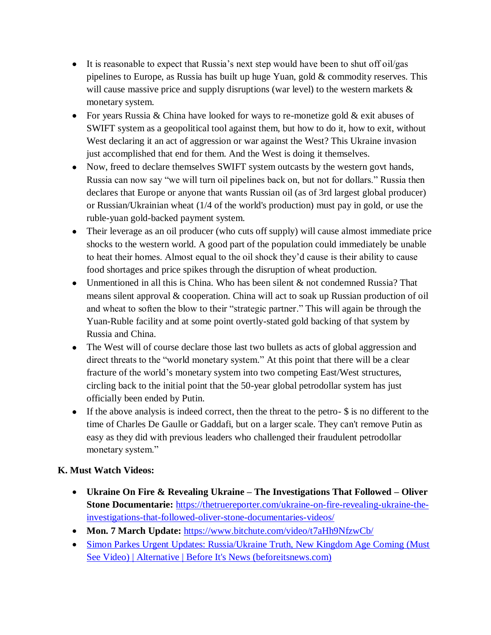- It is reasonable to expect that Russia's next step would have been to shut off oil/gas pipelines to Europe, as Russia has built up huge Yuan, gold & commodity reserves. This will cause massive price and supply disruptions (war level) to the western markets  $\&$ monetary system.
- For years Russia & China have looked for ways to re-monetize gold  $\&$  exit abuses of SWIFT system as a geopolitical tool against them, but how to do it, how to exit, without West declaring it an act of aggression or war against the West? This Ukraine invasion just accomplished that end for them. And the West is doing it themselves.
- Now, freed to declare themselves SWIFT system outcasts by the western govt hands, Russia can now say "we will turn oil pipelines back on, but not for dollars." Russia then declares that Europe or anyone that wants Russian oil (as of 3rd largest global producer) or Russian/Ukrainian wheat (1/4 of the world's production) must pay in gold, or use the ruble-yuan gold-backed payment system.
- Their leverage as an oil producer (who cuts off supply) will cause almost immediate price shocks to the western world. A good part of the population could immediately be unable to heat their homes. Almost equal to the oil shock they'd cause is their ability to cause food shortages and price spikes through the disruption of wheat production.
- Unmentioned in all this is China. Who has been silent & not condemned Russia? That means silent approval & cooperation. China will act to soak up Russian production of oil and wheat to soften the blow to their "strategic partner." This will again be through the Yuan-Ruble facility and at some point overtly-stated gold backing of that system by Russia and China.
- The West will of course declare those last two bullets as acts of global aggression and direct threats to the "world monetary system." At this point that there will be a clear fracture of the world's monetary system into two competing East/West structures, circling back to the initial point that the 50-year global petrodollar system has just officially been ended by Putin.
- If the above analysis is indeed correct, then the threat to the petro- \$ is no different to the time of Charles De Gaulle or Gaddafi, but on a larger scale. They can't remove Putin as easy as they did with previous leaders who challenged their fraudulent petrodollar monetary system."

### **K. Must Watch Videos:**

- **Ukraine On Fire & Revealing Ukraine – The Investigations That Followed – Oliver Stone Documentarie:** [https://thetruereporter.com/ukraine-on-fire-revealing-ukraine-the](https://thetruereporter.com/ukraine-on-fire-revealing-ukraine-the-investigations-that-followed-oliver-stone-documentaries-videos/)[investigations-that-followed-oliver-stone-documentaries-videos/](https://thetruereporter.com/ukraine-on-fire-revealing-ukraine-the-investigations-that-followed-oliver-stone-documentaries-videos/)
- **Mon. 7 March Update:** <https://www.bitchute.com/video/t7aHh9NfzwCb/>
- Simon Parkes Urgent Updates: Russia/Ukraine Truth, New Kingdom Age Coming (Must [See Video\) | Alternative | Before It's News \(beforeitsnews.com\)](https://beforeitsnews.com/alternative/2022/03/simon-parkes-urgent-updates-russiaukraine-truth-new-kingdom-age-coming-must-see-video-3768809.html)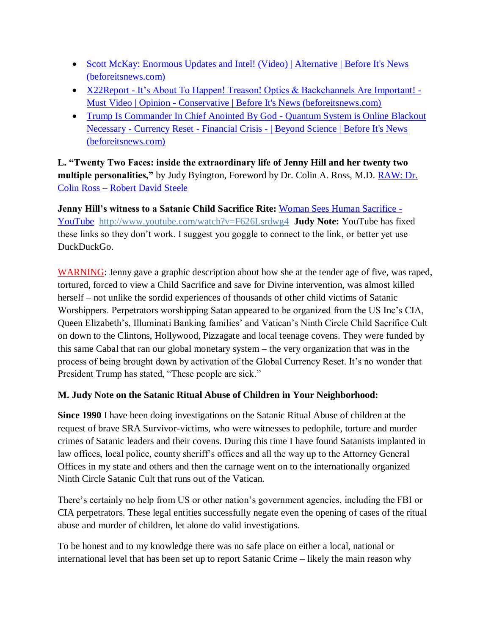- Scott McKay: Enormous Updates and Intel! (Video) | Alternative | Before It's News [\(beforeitsnews.com\)](https://beforeitsnews.com/alternative/2022/03/scott-mckay-enormous-updates-and-intel-video-3768813.html)
- X22Report [It's About To Happen! Treason! Optics & Backchannels Are Important! -](https://beforeitsnews.com/opinion-conservative/2022/03/x22report-its-about-to-happen-treason-optics-backchannels-are-important-must-video-3621397.html) Must Video | Opinion - [Conservative | Before It's News \(beforeitsnews.com\)](https://beforeitsnews.com/opinion-conservative/2022/03/x22report-its-about-to-happen-treason-optics-backchannels-are-important-must-video-3621397.html)
- [Trump Is Commander In Chief Anointed By God -](https://beforeitsnews.com/beyond-science/2022/03/trump-commander-in-chief-anointed-by-god-quantum-system-is-online-blackout-necessary-currency-reset-financial-crisis-2454381.html) Quantum System is Online Blackout Necessary - Currency Reset - Financial Crisis - [| Beyond Science | Before It's News](https://beforeitsnews.com/beyond-science/2022/03/trump-commander-in-chief-anointed-by-god-quantum-system-is-online-blackout-necessary-currency-reset-financial-crisis-2454381.html)  [\(beforeitsnews.com\)](https://beforeitsnews.com/beyond-science/2022/03/trump-commander-in-chief-anointed-by-god-quantum-system-is-online-blackout-necessary-currency-reset-financial-crisis-2454381.html)

**L. "Twenty Two Faces: inside the extraordinary life of Jenny Hill and her twenty two multiple personalities,"** by Judy Byington, Foreword by Dr. Colin A. Ross, M.D. [RAW: Dr.](https://robertdavidsteele.com/dr-colin-ross/)  Colin Ross – [Robert David Steele](https://robertdavidsteele.com/dr-colin-ross/)

**Jenny Hill's witness to a Satanic Child Sacrifice Rite: [Woman Sees Human Sacrifice -](https://www.youtube.com/watch?v=F626Lsrdwg4)** [YouTube http://www.youtube.com/watch?v=F626Lsrdwg4](https://www.youtube.com/watch?v=F626Lsrdwg4) **Judy Note:** YouTube has fixed these links so they don't work. I suggest you goggle to connect to the link, or better yet use DuckDuckGo.

WARNING: Jenny gave a graphic description about how she at the tender age of five, was raped, tortured, forced to view a Child Sacrifice and save for Divine intervention, was almost killed herself – not unlike the sordid experiences of thousands of other child victims of Satanic Worshippers. Perpetrators worshipping Satan appeared to be organized from the US Inc's CIA, Queen Elizabeth's, Illuminati Banking families' and Vatican's Ninth Circle Child Sacrifice Cult on down to the Clintons, Hollywood, Pizzagate and local teenage covens. They were funded by this same Cabal that ran our global monetary system – the very organization that was in the process of being brought down by activation of the Global Currency Reset. It's no wonder that President Trump has stated, "These people are sick."

### **M. Judy Note on the Satanic Ritual Abuse of Children in Your Neighborhood:**

**Since 1990** I have been doing investigations on the Satanic Ritual Abuse of children at the request of brave SRA Survivor-victims, who were witnesses to pedophile, torture and murder crimes of Satanic leaders and their covens. During this time I have found Satanists implanted in law offices, local police, county sheriff's offices and all the way up to the Attorney General Offices in my state and others and then the carnage went on to the internationally organized Ninth Circle Satanic Cult that runs out of the Vatican.

There's certainly no help from US or other nation's government agencies, including the FBI or CIA perpetrators. These legal entities successfully negate even the opening of cases of the ritual abuse and murder of children, let alone do valid investigations.

To be honest and to my knowledge there was no safe place on either a local, national or international level that has been set up to report Satanic Crime – likely the main reason why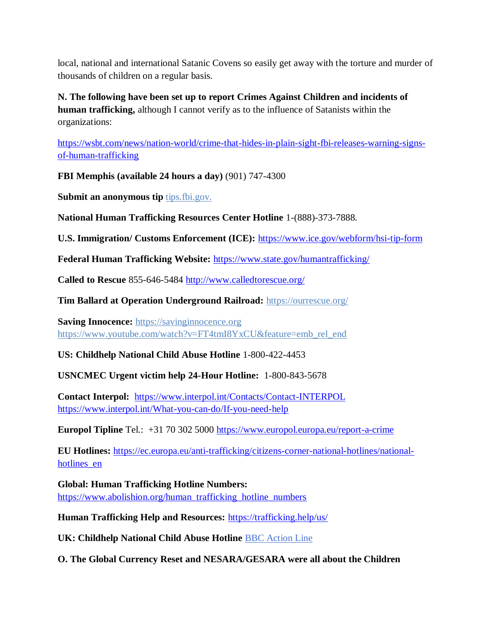local, national and international Satanic Covens so easily get away with the torture and murder of thousands of children on a regular basis.

**N. The following have been set up to report Crimes Against Children and incidents of human trafficking,** although I cannot verify as to the influence of Satanists within the organizations:

[https://wsbt.com/news/nation-world/crime-that-hides-in-plain-sight-fbi-releases-warning-signs](https://wsbt.com/news/nation-world/crime-that-hides-in-plain-sight-fbi-releases-warning-signs-of-human-trafficking?video=e56ba52a1b9d45ad8c8a033fd83fe480&jwsource=cl)[of-human-trafficking](https://wsbt.com/news/nation-world/crime-that-hides-in-plain-sight-fbi-releases-warning-signs-of-human-trafficking?video=e56ba52a1b9d45ad8c8a033fd83fe480&jwsource=cl)

**FBI Memphis (available 24 hours a day)** (901) 747-4300

**Submit an anonymous tip <b>tips.fbi.gov.** 

**National Human Trafficking Resources Center Hotline** 1-(888)-373-7888.

**U.S. Immigration/ Customs Enforcement (ICE):** <https://www.ice.gov/webform/hsi-tip-form>

**Federal Human Trafficking Website:** <https://www.state.gov/humantrafficking/>

**Called to Rescue** 855-646-5484 <http://www.calledtorescue.org/>

**Tim Ballard at Operation Underground Railroad:** <https://ourrescue.org/>

**Saving Innocence:** [https://savinginnocence.org](https://savinginnocence.org/) [https://www.youtube.com/watch?v=FT4tmI8YxCU&feature=emb\\_rel\\_end](https://www.youtube.com/watch?v=FT4tmI8YxCU&feature=emb_rel_end)

**US: Childhelp National Child Abuse Hotline** 1-800-422-4453

**USNCMEC Urgent victim help 24-Hour Hotline:** 1-800-843-5678

**Contact Interpol:** <https://www.interpol.int/Contacts/Contact-INTERPOL> <https://www.interpol.int/What-you-can-do/If-you-need-help>

**Europol Tipline** Tel.: +31 70 302 5000<https://www.europol.europa.eu/report-a-crime>

**EU Hotlines:** [https://ec.europa.eu/anti-trafficking/citizens-corner-national-hotlines/national](https://ec.europa.eu/anti-trafficking/citizens-corner-national-hotlines/national-hotlines_en)hotlines en

**Global: Human Trafficking Hotline Numbers:** [https://www.abolishion.org/human\\_trafficking\\_hotline\\_numbers](https://www.abolishion.org/human_trafficking_hotline_numbers)

**Human Trafficking Help and Resources:** <https://trafficking.help/us/>

**UK: Childhelp National Child Abuse Hotline** [BBC Action Line](https://www.bbc.co.uk/actionline)

**O. The Global Currency Reset and NESARA/GESARA were all about the Children**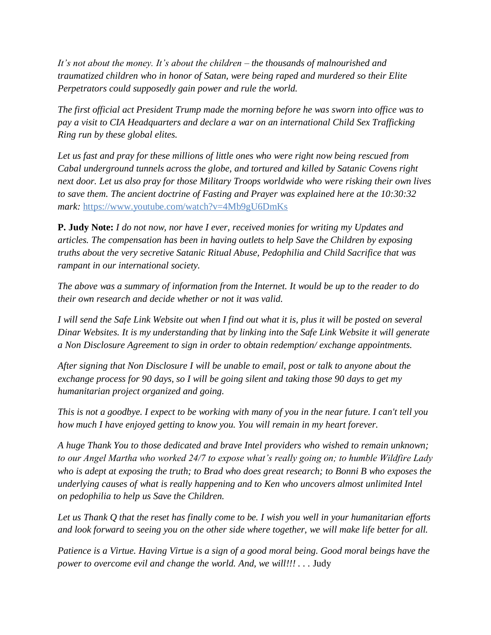*It's not about the money. It's about the children – the thousands of malnourished and traumatized children who in honor of Satan, were being raped and murdered so their Elite Perpetrators could supposedly gain power and rule the world.* 

*The first official act President Trump made the morning before he was sworn into office was to pay a visit to CIA Headquarters and declare a war on an international Child Sex Trafficking Ring run by these global elites.* 

*Let us fast and pray for these millions of little ones who were right now being rescued from Cabal underground tunnels across the globe, and tortured and killed by Satanic Covens right next door. Let us also pray for those Military Troops worldwide who were risking their own lives to save them. The ancient doctrine of Fasting and Prayer was explained here at the 10:30:32 mark:* <https://www.youtube.com/watch?v=4Mb9gU6DmKs>

**P. Judy Note:** *I do not now, nor have I ever, received monies for writing my Updates and articles. The compensation has been in having outlets to help Save the Children by exposing truths about the very secretive Satanic Ritual Abuse, Pedophilia and Child Sacrifice that was rampant in our international society.*

*The above was a summary of information from the Internet. It would be up to the reader to do their own research and decide whether or not it was valid.*

*I will send the Safe Link Website out when I find out what it is, plus it will be posted on several Dinar Websites. It is my understanding that by linking into the Safe Link Website it will generate a Non Disclosure Agreement to sign in order to obtain redemption/ exchange appointments.*

*After signing that Non Disclosure I will be unable to email, post or talk to anyone about the exchange process for 90 days, so I will be going silent and taking those 90 days to get my humanitarian project organized and going.*

*This is not a goodbye. I expect to be working with many of you in the near future. I can't tell you how much I have enjoyed getting to know you. You will remain in my heart forever.*

*A huge Thank You to those dedicated and brave Intel providers who wished to remain unknown; to our Angel Martha who worked 24/7 to expose what's really going on; to humble Wildfire Lady who is adept at exposing the truth; to Brad who does great research; to Bonni B who exposes the underlying causes of what is really happening and to Ken who uncovers almost unlimited Intel on pedophilia to help us Save the Children.*

*Let us Thank Q that the reset has finally come to be. I wish you well in your humanitarian efforts and look forward to seeing you on the other side where together, we will make life better for all.*

*Patience is a Virtue. Having Virtue is a sign of a good moral being. Good moral beings have the power to overcome evil and change the world. And, we will!!!* . . . Judy